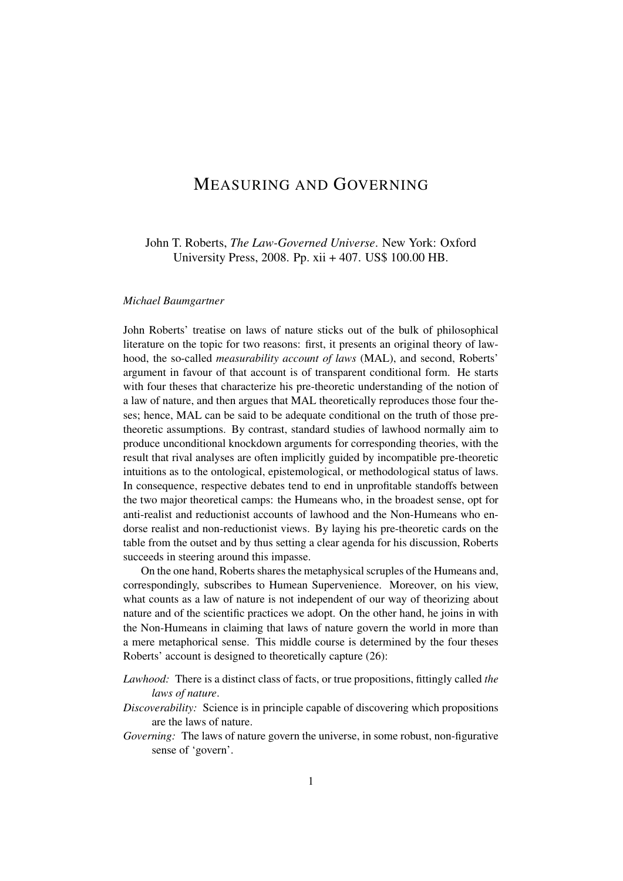## MEASURING AND GOVERNING

John T. Roberts, *The Law-Governed Universe*. New York: Oxford University Press, 2008. Pp. xii + 407. US\$ 100.00 HB.

## *Michael Baumgartner*

John Roberts' treatise on laws of nature sticks out of the bulk of philosophical literature on the topic for two reasons: first, it presents an original theory of lawhood, the so-called *measurability account of laws* (MAL), and second, Roberts' argument in favour of that account is of transparent conditional form. He starts with four theses that characterize his pre-theoretic understanding of the notion of a law of nature, and then argues that MAL theoretically reproduces those four theses; hence, MAL can be said to be adequate conditional on the truth of those pretheoretic assumptions. By contrast, standard studies of lawhood normally aim to produce unconditional knockdown arguments for corresponding theories, with the result that rival analyses are often implicitly guided by incompatible pre-theoretic intuitions as to the ontological, epistemological, or methodological status of laws. In consequence, respective debates tend to end in unprofitable standoffs between the two major theoretical camps: the Humeans who, in the broadest sense, opt for anti-realist and reductionist accounts of lawhood and the Non-Humeans who endorse realist and non-reductionist views. By laying his pre-theoretic cards on the table from the outset and by thus setting a clear agenda for his discussion, Roberts succeeds in steering around this impasse.

On the one hand, Roberts shares the metaphysical scruples of the Humeans and, correspondingly, subscribes to Humean Supervenience. Moreover, on his view, what counts as a law of nature is not independent of our way of theorizing about nature and of the scientific practices we adopt. On the other hand, he joins in with the Non-Humeans in claiming that laws of nature govern the world in more than a mere metaphorical sense. This middle course is determined by the four theses Roberts' account is designed to theoretically capture (26):

- *Lawhood:* There is a distinct class of facts, or true propositions, fittingly called *the laws of nature*.
- *Discoverability:* Science is in principle capable of discovering which propositions are the laws of nature.
- *Governing:* The laws of nature govern the universe, in some robust, non-figurative sense of 'govern'.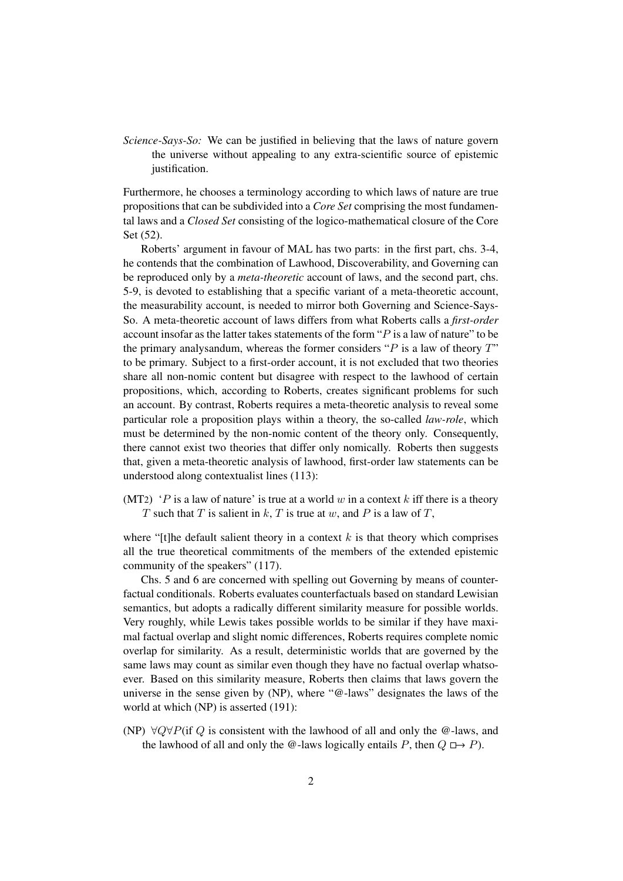*Science-Says-So:* We can be justified in believing that the laws of nature govern the universe without appealing to any extra-scientific source of epistemic justification.

Furthermore, he chooses a terminology according to which laws of nature are true propositions that can be subdivided into a *Core Set* comprising the most fundamental laws and a *Closed Set* consisting of the logico-mathematical closure of the Core Set (52).

Roberts' argument in favour of MAL has two parts: in the first part, chs. 3-4, he contends that the combination of Lawhood, Discoverability, and Governing can be reproduced only by a *meta-theoretic* account of laws, and the second part, chs. 5-9, is devoted to establishing that a specific variant of a meta-theoretic account, the measurability account, is needed to mirror both Governing and Science-Says-So. A meta-theoretic account of laws differs from what Roberts calls a *first-order* account insofar as the latter takes statements of the form " $P$  is a law of nature" to be the primary analysandum, whereas the former considers " $P$  is a law of theory  $T$ " to be primary. Subject to a first-order account, it is not excluded that two theories share all non-nomic content but disagree with respect to the lawhood of certain propositions, which, according to Roberts, creates significant problems for such an account. By contrast, Roberts requires a meta-theoretic analysis to reveal some particular role a proposition plays within a theory, the so-called *law-role*, which must be determined by the non-nomic content of the theory only. Consequently, there cannot exist two theories that differ only nomically. Roberts then suggests that, given a meta-theoretic analysis of lawhood, first-order law statements can be understood along contextualist lines (113):

(MT2) 'P is a law of nature' is true at a world w in a context k iff there is a theory T such that T is salient in k, T is true at w, and P is a law of T,

where "[t]he default salient theory in a context  $k$  is that theory which comprises all the true theoretical commitments of the members of the extended epistemic community of the speakers" (117).

Chs. 5 and 6 are concerned with spelling out Governing by means of counterfactual conditionals. Roberts evaluates counterfactuals based on standard Lewisian semantics, but adopts a radically different similarity measure for possible worlds. Very roughly, while Lewis takes possible worlds to be similar if they have maximal factual overlap and slight nomic differences, Roberts requires complete nomic overlap for similarity. As a result, deterministic worlds that are governed by the same laws may count as similar even though they have no factual overlap whatsoever. Based on this similarity measure, Roberts then claims that laws govern the universe in the sense given by (NP), where "@-laws" designates the laws of the world at which (NP) is asserted (191):

(NP)  $\forall Q \forall P$  (if Q is consistent with the lawhood of all and only the @-laws, and the lawhood of all and only the  $\omega$ -laws logically entails P, then  $Q \mapsto P$ ).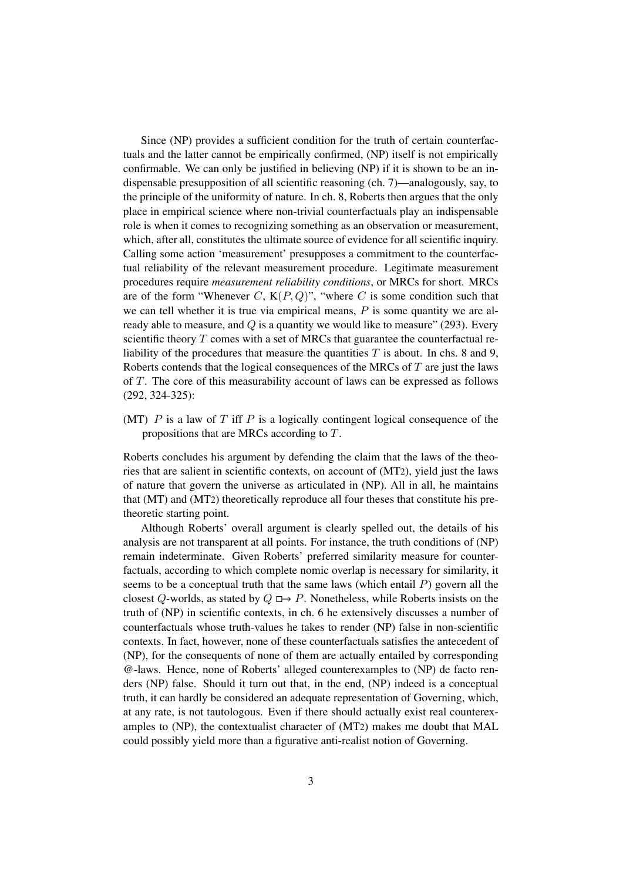Since (NP) provides a sufficient condition for the truth of certain counterfactuals and the latter cannot be empirically confirmed, (NP) itself is not empirically confirmable. We can only be justified in believing (NP) if it is shown to be an indispensable presupposition of all scientific reasoning (ch. 7)—analogously, say, to the principle of the uniformity of nature. In ch. 8, Roberts then argues that the only place in empirical science where non-trivial counterfactuals play an indispensable role is when it comes to recognizing something as an observation or measurement, which, after all, constitutes the ultimate source of evidence for all scientific inquiry. Calling some action 'measurement' presupposes a commitment to the counterfactual reliability of the relevant measurement procedure. Legitimate measurement procedures require *measurement reliability conditions*, or MRCs for short. MRCs are of the form "Whenever C,  $K(P,Q)$ ", "where C is some condition such that we can tell whether it is true via empirical means,  $P$  is some quantity we are already able to measure, and  $Q$  is a quantity we would like to measure" (293). Every scientific theory  $T$  comes with a set of MRCs that guarantee the counterfactual reliability of the procedures that measure the quantities  $T$  is about. In chs. 8 and 9, Roberts contends that the logical consequences of the MRCs of  $T$  are just the laws of T. The core of this measurability account of laws can be expressed as follows (292, 324-325):

(MT)  $P$  is a law of  $T$  iff  $P$  is a logically contingent logical consequence of the propositions that are MRCs according to T.

Roberts concludes his argument by defending the claim that the laws of the theories that are salient in scientific contexts, on account of (MT2), yield just the laws of nature that govern the universe as articulated in (NP). All in all, he maintains that (MT) and (MT2) theoretically reproduce all four theses that constitute his pretheoretic starting point.

Although Roberts' overall argument is clearly spelled out, the details of his analysis are not transparent at all points. For instance, the truth conditions of (NP) remain indeterminate. Given Roberts' preferred similarity measure for counterfactuals, according to which complete nomic overlap is necessary for similarity, it seems to be a conceptual truth that the same laws (which entail  $P$ ) govern all the closest Q-worlds, as stated by  $Q \Box \rightarrow P$ . Nonetheless, while Roberts insists on the truth of (NP) in scientific contexts, in ch. 6 he extensively discusses a number of counterfactuals whose truth-values he takes to render (NP) false in non-scientific contexts. In fact, however, none of these counterfactuals satisfies the antecedent of (NP), for the consequents of none of them are actually entailed by corresponding @-laws. Hence, none of Roberts' alleged counterexamples to (NP) de facto renders (NP) false. Should it turn out that, in the end, (NP) indeed is a conceptual truth, it can hardly be considered an adequate representation of Governing, which, at any rate, is not tautologous. Even if there should actually exist real counterexamples to (NP), the contextualist character of (MT2) makes me doubt that MAL could possibly yield more than a figurative anti-realist notion of Governing.